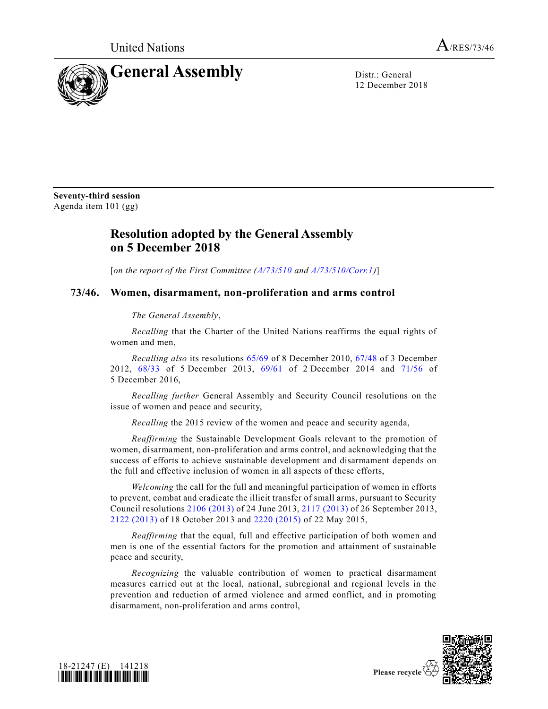

12 December 2018

**Seventy-third session** Agenda item 101 (gg)

## **Resolution adopted by the General Assembly on 5 December 2018**

[*on the report of the First Committee [\(A/73/510](https://undocs.org/A/73/510) and [A/73/510/Corr.1\)](https://undocs.org/A/73/510/Corr.1)*]

## **73/46. Women, disarmament, non-proliferation and arms control**

*The General Assembly*,

*Recalling* that the Charter of the United Nations reaffirms the equal rights of women and men,

*Recalling also* its resolutions [65/69](https://undocs.org/A/RES/65/69) of 8 December 2010, [67/48](https://undocs.org/A/RES/67/48) of 3 December 2012, [68/33](https://undocs.org/A/RES/68/33) of 5 December 2013, [69/61](https://undocs.org/A/RES/69/61) of 2 December 2014 and [71/56](https://undocs.org/A/RES/71/56) of 5 December 2016,

*Recalling further* General Assembly and Security Council resolutions on the issue of women and peace and security,

*Recalling* the 2015 review of the women and peace and security agenda,

*Reaffirming* the Sustainable Development Goals relevant to the promotion of women, disarmament, non-proliferation and arms control, and acknowledging that the success of efforts to achieve sustainable development and disarmament depends on the full and effective inclusion of women in all aspects of these efforts,

*Welcoming* the call for the full and meaningful participation of women in efforts to prevent, combat and eradicate the illicit transfer of small arms, pursuant to Security Council resolutions 2106 [\(2013\)](https://undocs.org/S/RES/2106(2013)) of 24 June 2013, 2117 [\(2013\)](https://undocs.org/S/RES/2117(2013)) of 26 September 2013, 2122 [\(2013\)](https://undocs.org/S/RES/2122(2013)) of 18 October 2013 and 2220 [\(2015\)](https://undocs.org/S/RES/2220(2015)) of 22 May 2015,

*Reaffirming* that the equal, full and effective participation of both women and men is one of the essential factors for the promotion and attainment of sustainable peace and security,

*Recognizing* the valuable contribution of women to practical disarmament measures carried out at the local, national, subregional and regional levels in the prevention and reduction of armed violence and armed conflict, and in promoting disarmament, non-proliferation and arms control,



Please recycle  $\heartsuit$ 

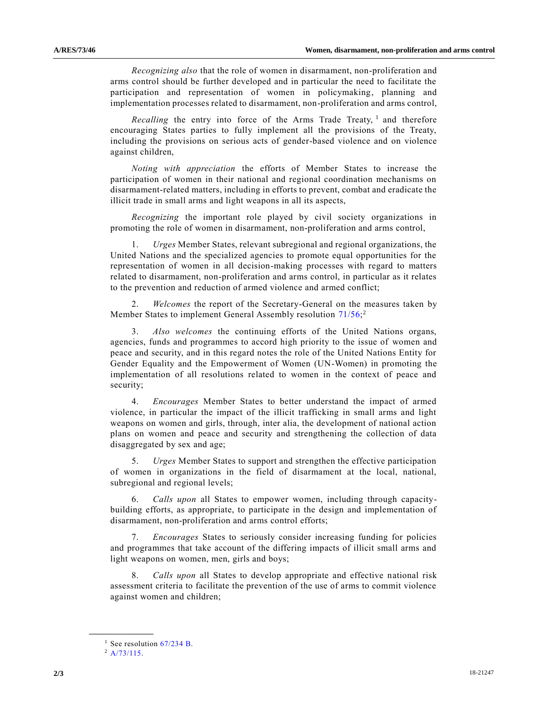*Recognizing also* that the role of women in disarmament, non-proliferation and arms control should be further developed and in particular the need to facilitate the participation and representation of women in policymaking, planning and implementation processes related to disarmament, non-proliferation and arms control,

*Recalling* the entry into force of the Arms Trade Treaty, <sup>1</sup> and therefore encouraging States parties to fully implement all the provisions of the Treaty, including the provisions on serious acts of gender-based violence and on violence against children,

*Noting with appreciation* the efforts of Member States to increase the participation of women in their national and regional coordination mechanisms on disarmament-related matters, including in efforts to prevent, combat and eradicate the illicit trade in small arms and light weapons in all its aspects,

*Recognizing* the important role played by civil society organizations in promoting the role of women in disarmament, non-proliferation and arms control,

1. *Urges* Member States, relevant subregional and regional organizations, the United Nations and the specialized agencies to promote equal opportunities for the representation of women in all decision-making processes with regard to matters related to disarmament, non-proliferation and arms control, in particular as it relates to the prevention and reduction of armed violence and armed conflict;

2. *Welcomes* the report of the Secretary-General on the measures taken by Member States to implement General Assembly resolution [71/56;](https://undocs.org/A/RES/71/56)<sup>2</sup>

3. *Also welcomes* the continuing efforts of the United Nations organs, agencies, funds and programmes to accord high priority to the issue of women and peace and security, and in this regard notes the role of the United Nations Entity for Gender Equality and the Empowerment of Women (UN-Women) in promoting the implementation of all resolutions related to women in the context of peace and security;

4. *Encourages* Member States to better understand the impact of armed violence, in particular the impact of the illicit trafficking in small arms and light weapons on women and girls, through, inter alia, the development of national action plans on women and peace and security and strengthening the collection of data disaggregated by sex and age;

5. *Urges* Member States to support and strengthen the effective participation of women in organizations in the field of disarmament at the local, national, subregional and regional levels;

6. *Calls upon* all States to empower women, including through capacitybuilding efforts, as appropriate, to participate in the design and implementation of disarmament, non-proliferation and arms control efforts;

7. *Encourages* States to seriously consider increasing funding for policies and programmes that take account of the differing impacts of illicit small arms and light weapons on women, men, girls and boys;

8. *Calls upon* all States to develop appropriate and effective national risk assessment criteria to facilitate the prevention of the use of arms to commit violence against women and children;

**\_\_\_\_\_\_\_\_\_\_\_\_\_\_\_\_\_\_**

<sup>&</sup>lt;sup>1</sup> See resolution  $67/234$  B.

 $^{2}$  [A/73/115.](https://undocs.org/A/73/115)